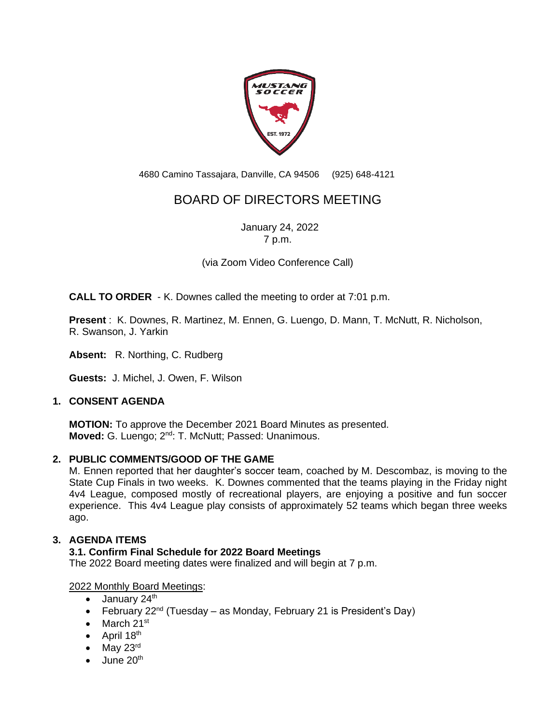

4680 Camino Tassajara, Danville, CA 94506 (925) 648-4121

# BOARD OF DIRECTORS MEETING

January 24, 2022 7 p.m.

(via Zoom Video Conference Call)

**CALL TO ORDER** - K. Downes called the meeting to order at 7:01 p.m.

**Present** : K. Downes, R. Martinez, M. Ennen, G. Luengo, D. Mann, T. McNutt, R. Nicholson, R. Swanson, J. Yarkin

**Absent:** R. Northing, C. Rudberg

**Guests:** J. Michel, J. Owen, F. Wilson

## **1. CONSENT AGENDA**

**MOTION:** To approve the December 2021 Board Minutes as presented. Moved: G. Luengo; 2<sup>nd</sup>: T. McNutt; Passed: Unanimous.

## **2. PUBLIC COMMENTS/GOOD OF THE GAME**

M. Ennen reported that her daughter's soccer team, coached by M. Descombaz, is moving to the State Cup Finals in two weeks. K. Downes commented that the teams playing in the Friday night 4v4 League, composed mostly of recreational players, are enjoying a positive and fun soccer experience. This 4v4 League play consists of approximately 52 teams which began three weeks ago.

## **3. AGENDA ITEMS**

## **3.1. Confirm Final Schedule for 2022 Board Meetings**

The 2022 Board meeting dates were finalized and will begin at 7 p.m.

## 2022 Monthly Board Meetings:

- $\bullet$  January 24<sup>th</sup>
- February  $22^{nd}$  (Tuesday as Monday, February 21 is President's Day)
- March 21<sup>st</sup>
- April  $18<sup>th</sup>$
- May  $23^{\text{rd}}$
- $\bullet$  June 20<sup>th</sup>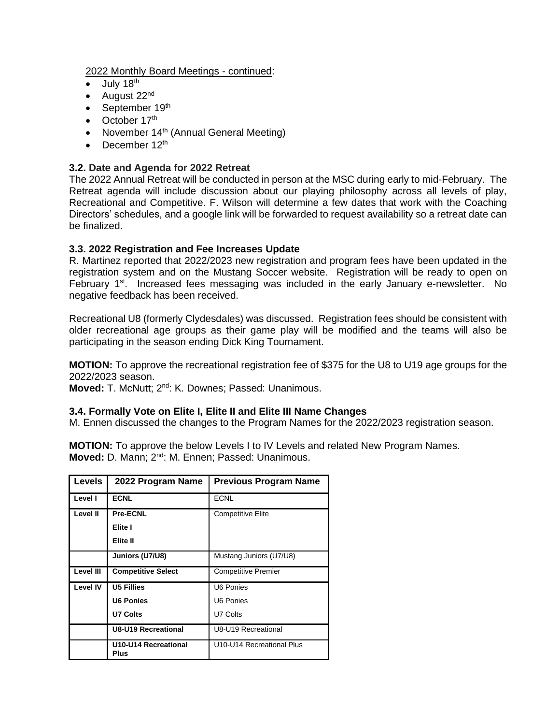2022 Monthly Board Meetings - continued:

- $\bullet$  July 18<sup>th</sup>
- August  $22<sup>nd</sup>$
- September  $19<sup>th</sup>$
- October  $17<sup>th</sup>$
- November  $14<sup>th</sup>$  (Annual General Meeting)
- December  $12<sup>th</sup>$

## **3.2. Date and Agenda for 2022 Retreat**

The 2022 Annual Retreat will be conducted in person at the MSC during early to mid-February. The Retreat agenda will include discussion about our playing philosophy across all levels of play, Recreational and Competitive. F. Wilson will determine a few dates that work with the Coaching Directors' schedules, and a google link will be forwarded to request availability so a retreat date can be finalized.

## **3.3. 2022 Registration and Fee Increases Update**

R. Martinez reported that 2022/2023 new registration and program fees have been updated in the registration system and on the Mustang Soccer website. Registration will be ready to open on February 1<sup>st</sup>. Increased fees messaging was included in the early January e-newsletter. No negative feedback has been received.

Recreational U8 (formerly Clydesdales) was discussed. Registration fees should be consistent with older recreational age groups as their game play will be modified and the teams will also be participating in the season ending Dick King Tournament.

**MOTION:** To approve the recreational registration fee of \$375 for the U8 to U19 age groups for the 2022/2023 season.

Moved: T. McNutt; 2<sup>nd</sup>: K. Downes; Passed: Unanimous.

#### **3.4. Formally Vote on Elite I, Elite II and Elite III Name Changes**

M. Ennen discussed the changes to the Program Names for the 2022/2023 registration season.

**MOTION:** To approve the below Levels I to IV Levels and related New Program Names. Moved: D. Mann; 2<sup>nd</sup>: M. Ennen; Passed: Unanimous.

| <b>Levels</b>    | 2022 Program Name            | <b>Previous Program Name</b> |
|------------------|------------------------------|------------------------------|
| Level I          | <b>ECNL</b>                  | <b>ECNL</b>                  |
| Level II         | Pre-ECNL                     | <b>Competitive Elite</b>     |
|                  | Elite I                      |                              |
|                  | Elite II                     |                              |
|                  | Juniors (U7/U8)              | Mustang Juniors (U7/U8)      |
| <b>Level III</b> | <b>Competitive Select</b>    | <b>Competitive Premier</b>   |
| <b>Level IV</b>  | <b>U5 Fillies</b>            | U6 Ponies                    |
|                  | <b>U6 Ponies</b>             | U6 Ponies                    |
|                  | <b>U7 Colts</b>              | U7 Colts                     |
|                  | <b>U8-U19 Recreational</b>   | U8-U19 Recreational          |
|                  | U10-U14 Recreational<br>Plus | U10-U14 Recreational Plus    |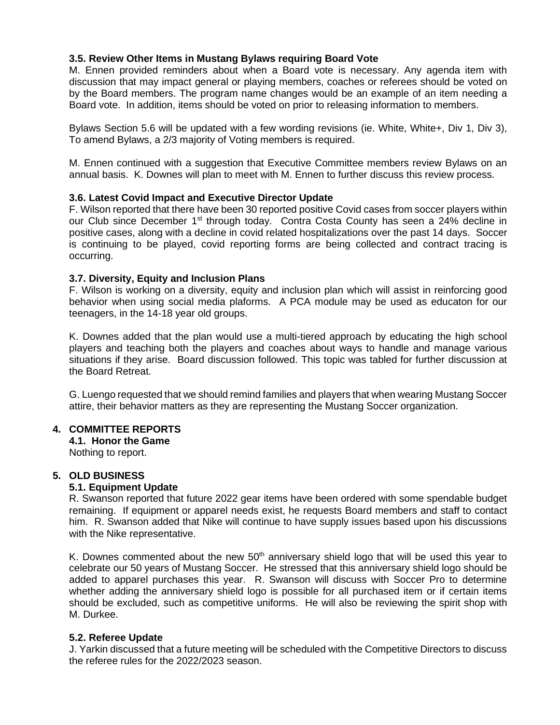## **3.5. Review Other Items in Mustang Bylaws requiring Board Vote**

M. Ennen provided reminders about when a Board vote is necessary. Any agenda item with discussion that may impact general or playing members, coaches or referees should be voted on by the Board members. The program name changes would be an example of an item needing a Board vote. In addition, items should be voted on prior to releasing information to members.

Bylaws Section 5.6 will be updated with a few wording revisions (ie. White, White+, Div 1, Div 3), To amend Bylaws, a 2/3 majority of Voting members is required.

M. Ennen continued with a suggestion that Executive Committee members review Bylaws on an annual basis. K. Downes will plan to meet with M. Ennen to further discuss this review process.

## **3.6. Latest Covid Impact and Executive Director Update**

F. Wilson reported that there have been 30 reported positive Covid cases from soccer players within our Club since December 1<sup>st</sup> through today. Contra Costa County has seen a 24% decline in positive cases, along with a decline in covid related hospitalizations over the past 14 days. Soccer is continuing to be played, covid reporting forms are being collected and contract tracing is occurring.

#### **3.7. Diversity, Equity and Inclusion Plans**

F. Wilson is working on a diversity, equity and inclusion plan which will assist in reinforcing good behavior when using social media plaforms. A PCA module may be used as educaton for our teenagers, in the 14-18 year old groups.

K. Downes added that the plan would use a multi-tiered approach by educating the high school players and teaching both the players and coaches about ways to handle and manage various situations if they arise. Board discussion followed. This topic was tabled for further discussion at the Board Retreat.

G. Luengo requested that we should remind families and players that when wearing Mustang Soccer attire, their behavior matters as they are representing the Mustang Soccer organization.

#### **4. COMMITTEE REPORTS**

**4.1. Honor the Game** Nothing to report.

#### **5. OLD BUSINESS**

#### **5.1. Equipment Update**

R. Swanson reported that future 2022 gear items have been ordered with some spendable budget remaining. If equipment or apparel needs exist, he requests Board members and staff to contact him. R. Swanson added that Nike will continue to have supply issues based upon his discussions with the Nike representative.

K. Downes commented about the new  $50<sup>th</sup>$  anniversary shield logo that will be used this year to celebrate our 50 years of Mustang Soccer. He stressed that this anniversary shield logo should be added to apparel purchases this year. R. Swanson will discuss with Soccer Pro to determine whether adding the anniversary shield logo is possible for all purchased item or if certain items should be excluded, such as competitive uniforms. He will also be reviewing the spirit shop with M. Durkee.

#### **5.2. Referee Update**

J. Yarkin discussed that a future meeting will be scheduled with the Competitive Directors to discuss the referee rules for the 2022/2023 season.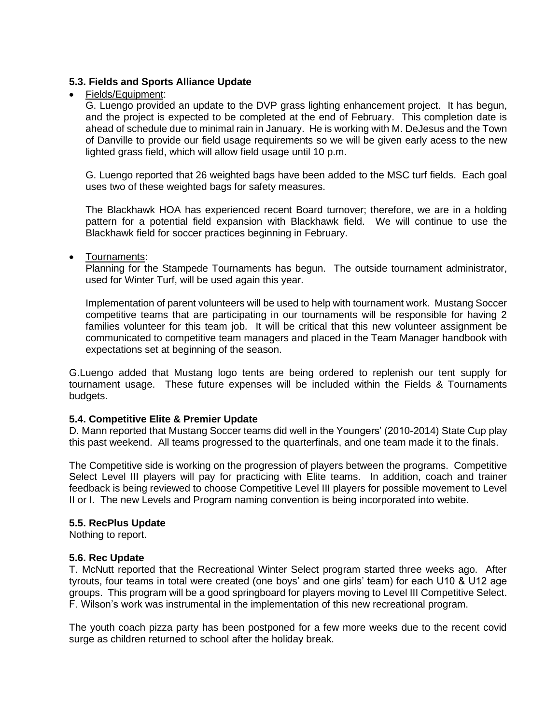## **5.3. Fields and Sports Alliance Update**

### • Fields/Equipment:

G. Luengo provided an update to the DVP grass lighting enhancement project. It has begun, and the project is expected to be completed at the end of February. This completion date is ahead of schedule due to minimal rain in January. He is working with M. DeJesus and the Town of Danville to provide our field usage requirements so we will be given early acess to the new lighted grass field, which will allow field usage until 10 p.m.

G. Luengo reported that 26 weighted bags have been added to the MSC turf fields. Each goal uses two of these weighted bags for safety measures.

The Blackhawk HOA has experienced recent Board turnover; therefore, we are in a holding pattern for a potential field expansion with Blackhawk field. We will continue to use the Blackhawk field for soccer practices beginning in February.

#### • Tournaments:

Planning for the Stampede Tournaments has begun. The outside tournament administrator, used for Winter Turf, will be used again this year.

Implementation of parent volunteers will be used to help with tournament work. Mustang Soccer competitive teams that are participating in our tournaments will be responsible for having 2 families volunteer for this team job. It will be critical that this new volunteer assignment be communicated to competitive team managers and placed in the Team Manager handbook with expectations set at beginning of the season.

G.Luengo added that Mustang logo tents are being ordered to replenish our tent supply for tournament usage. These future expenses will be included within the Fields & Tournaments budgets.

## **5.4. Competitive Elite & Premier Update**

D. Mann reported that Mustang Soccer teams did well in the Youngers' (2010-2014) State Cup play this past weekend. All teams progressed to the quarterfinals, and one team made it to the finals.

The Competitive side is working on the progression of players between the programs. Competitive Select Level III players will pay for practicing with Elite teams. In addition, coach and trainer feedback is being reviewed to choose Competitive Level III players for possible movement to Level II or I. The new Levels and Program naming convention is being incorporated into webite.

#### **5.5. RecPlus Update**

Nothing to report.

#### **5.6. Rec Update**

T. McNutt reported that the Recreational Winter Select program started three weeks ago. After tyrouts, four teams in total were created (one boys' and one girls' team) for each U10 & U12 age groups. This program will be a good springboard for players moving to Level III Competitive Select. F. Wilson's work was instrumental in the implementation of this new recreational program.

The youth coach pizza party has been postponed for a few more weeks due to the recent covid surge as children returned to school after the holiday break.